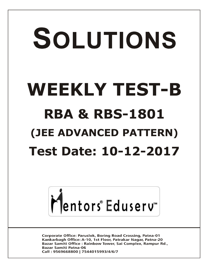# SOLUTIONS **WEEKLY TEST-B RBA & RBS-1801 (JEE ADVANCED PATTERN) Test Date: 10-12-2017**



**Corporate Office: Paruslok, Boring Road Crossing, Patna-01** Kankarbagh Office: A-10, 1st Floor, Patrakar Nagar, Patna-20 Bazar Samiti Office: Rainbow Tower, Sai Complex, Rampur Rd., **Bazar Samiti Patna-06** Call: 9569668800 | 7544015993/4/6/7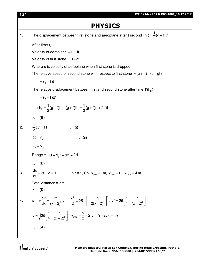

# **PHYSICS**

**1.** The displacement between first stone and aeroplane after *t* second  $(h_1) = \frac{1}{2}(g + f)t^2$  $(h_1) = \frac{1}{6}(g + f)t$ 2  $=\frac{1}{6}(g + f)$ 

After time *t*,

Velocity of aeroplane  $= u + ft$ 

Velocity of first stone  $= u - gt$ 

Where *u* is velocity of aeroplane when first stone is dropped.

The relative speed of second stone with respect to first stone  $= (u + ft) - (u - gt)$ 

$$
= (g + f)t
$$

The relative displacement between first and second stone after time  $\mathsf{t}'(\mathsf{h}_2)$ 

$$
= (g+f)t't'
$$
\n
$$
h_{1} + h_{2} = \frac{1}{2}(g+f)t^{2} + (g+f)t' = \frac{1}{2}(g+f)(t+2t')t
$$
\n∴ **(B)**\n2.  $\frac{1}{2}gt^{2} = H$  ...(i)  
\n
$$
gt = v_{y}
$$
 ...(ii)  
\n
$$
v_{x} = v_{y}
$$
\n
$$
v_{x} = v_{y}
$$
\nRange = u<sub>x</sub>t = v<sub>y</sub>t = gt<sup>2</sup> = 2H\n∴ **(B)**\n3.  $\frac{dx}{dt} = 2t - 2 = 0$  ⇒ t = 1, So, x<sub>t=0</sub> = 1m, x<sub>t=s</sub> = 0, x<sub>t=3</sub> = 4m\nTotal distance = 5m  
\n∴ **(D)**\n4.  $a = v \frac{dv}{dx} = \frac{25}{(x+2)^{3}}$ ,  $\frac{v^{2}}{2} = 25 \times \left[-\frac{1}{2(x+2)^{2}}\right]^{x}$ ,  $v^{2} = 25\left[\frac{1}{4} - \frac{1}{(x+2)^{2}}\right]$ \n
$$
v = \sqrt{25\left[\frac{1}{4} - \frac{1}{(x+2)^{2}}\right]}
$$
,  $v_{max} = \frac{5}{2} = 2.5$  m/s (at x = ∞)\n∴ **(A)**

Mentors<sup>e</sup> Eduserv<sup>-</sup>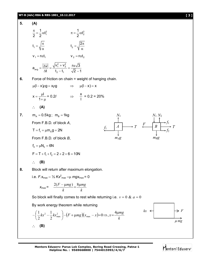

By work energy theorem while returning



 *mg*  $kx \leftarrow$   $\rightarrow$  F

Mentors Eduserv"

**Mentors Eduserv: Parus Lok Complex, Boring Road Crossing, Patna-1 Helpline No. : 9569668800 | 7544015993/4/6/7**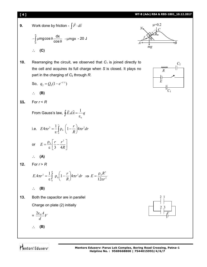## **[ 4 ] WT-B (Adv) RBA & RBS-1801\_10.12.2017**

**9.** Work done by friction -  $\int F \cdot d\vec{s}$  $\vec{r}$   $\vec{r}$ 

$$
-\int_{0}^{x} \mu mg \cos \theta \frac{dx}{\cos \theta} - \mu mgx - 20 \text{ J}
$$
  
:. (C)

**10.** Rearranging the circuit, we observed that  $C_1$  is joined directly to the cell and acquires its full charge when *S* is closed. It plays no part in the charging of *C*<sup>2</sup> through *R*.

So, 
$$
q_2 = Q_0(1 - e^{-t/\tau})
$$

$$
\therefore (B)
$$

11. For 
$$
r < R
$$

From Gauss's law,  $\oint E.dA = -q$  $\boldsymbol{0}$  $d\vec{A} = \frac{1}{\sqrt{2}}$  $\oint E.dA = \frac{1}{\varepsilon}$  $\rightarrow$   $\rightarrow$ 

i.e. 
$$
E4\pi r^2 = \frac{1}{\varepsilon} \int_0^r \rho_0 \left(1 - \frac{r}{R}\right) 4\pi r^2 dr
$$
  
or  $E = \frac{\rho_0}{\varepsilon} \left[ \frac{r}{3} - \frac{r^2}{4R} \right]$ 

$$
\therefore (A)
$$

**12.** For  $r > R$ 

$$
E.4\pi r^2 = \frac{1}{\varepsilon} \int_0^R \rho_0 \left(1 - \frac{r}{R}\right) 4\pi r^2 dr \implies E = \frac{\rho_0 R^3}{12\varepsilon r^2}
$$
  
 
$$
\therefore \quad \textbf{(B)}
$$

**13.** Both the capacitor are in parallel Charge on plate (2) initially

$$
=\frac{2\varepsilon_0 A}{d}V
$$

$$
\therefore \quad (B)
$$





*E*

 $C_1$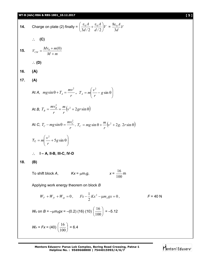## **WT-B (Adv) RBA & RBS-1801\_10.12.2017 [ 5 ]**

14. Charge on plate (2) finally = 
$$
\left(\frac{\varepsilon_0 A}{3d/2} + \frac{\varepsilon_0 A}{d/2}\right)V = \frac{8\varepsilon_0 A}{3d}V
$$
  
\n $\therefore$  (C)  
\n15.  $V_{CM} = \frac{Mv_0 + m(0)}{M+m}$   
\n $\therefore$  (D)  
\n16. (A)  
\n17. (A)  
\nAt A,  $mg\sin\theta + T_A = \frac{mv^2}{r}, T_A = m\left(\frac{v^2}{r} - g\sin\theta\right)$   
\nAt B,  $T_B = \frac{mv_B^2}{r} = \frac{m}{r}\left(v^2 + 2gr\sin\theta\right)$   
\nAt C,  $T_C - mg\sin\theta = \frac{mv_C^2}{r}, T_C = mg\sin\theta + \frac{m}{r}\left(v^2 + 2g, 2r\sin\theta\right)$   
\n $T_C = m\left(\frac{v^2}{r} + 5g\sin\theta\right)$   
\n $\therefore$  I – A, II-B, III-C, IV-D  
\n18. (B)  
\nTo shift block A,  $Kx = \mu m_1g$ ,  $x = \frac{16}{100}m$   
\nApplying work energy theorem on block B  
\n $W_F + W_{\hat{F}} + W_{\hat{w}} = 0, Fx - \frac{1}{2}Kx^2 - \mu m_2gx = 0, F = 40 N$   
\n $W_{\hat{r}}$  on  $B = -\mu m_2gx = -(0.2)$  (16) (10)  $\left(\frac{16}{100}\right) = -5.12$   
\n $W_{\hat{r}} = F_x = (40) \left(\frac{16}{100}\right) = 6.4$ 

**Mentors Eduserv: Parus Lok Complex, Boring Road Crossing, Patna-1 Helpline No. : 9569668800 | 7544015993/4/6/7**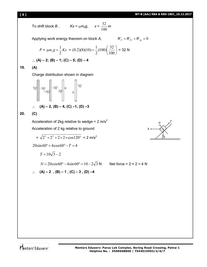Mentors<sup>e</sup> Eduserv<sup>®</sup>

32 *m*

100

To shift block  $B$ ,  $Kx = \mu m_2 g$ ,

Applying work energy theorem on block A,  $W_F + W_{F} + W_{sp} = 0$ 

$$
F = \mu m_1 g + \frac{1}{2} Kx = (0.2)(8)(10) + \frac{1}{2}(100)\left(\frac{32}{100}\right) = 32 \text{ N}
$$

$$
\therefore (A) - 2; (B) - 1; (C) - 5; (D) - 4
$$

**19. (A)**

Charge distribution shown in diagram

$$
7Q \left[\begin{array}{cc} -3Q & -2Q & 0 \\ -3Q & -3Q & 0 \\ 0 & 0 & 0 \end{array}\right] \left[\begin{array}{cc} -2Q & 0 & 0 \\ 0 & 0 & 0 \\ 0 & 0 & 0 \end{array}\right]
$$

$$
\therefore (A) - 2, (B) - 4, (C) -1, (D) -3
$$

## **20. (C)**

Acceleration of 2kg relative to wedge = 2 m/s<sup>2</sup>

Acceleration of 2 kg relative to ground

$$
= \sqrt{2^2 + 2^2 + 2 \times 2 \times \cos 120^{\circ}} = 2 \text{ m/s}^2
$$

 $20\sin 60^\circ + 4\cos 60^\circ - T = 4$ 

$$
T=10\sqrt{3}-2
$$

 $N = 20\cos 60^\circ - 4\sin 60^\circ = 10 - 2\sqrt{3} N$  Net force = 2 × 2 = 4 N

$$
\therefore (A) - 2 , (B) - 1 , (C) - 3 , (D) -4
$$

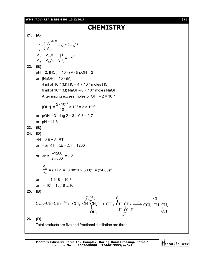#### **WT-B (ADV) RBA & RBS-1801\_10.12.2017** [ **7** ]

## **CHEMISTRY**

**21. (A)** (y-1)  $1 = \begin{array}{c} 1 \ 2 \end{array}$  =  $\mathbf{v}^{(1.4-1)} = \mathbf{v}^{0.4}$ 2 1  $\frac{11}{2}$  =  $\frac{V_{\text{avi}} V_2}{V_2}$  =  $\frac{11}{2}V_1 = V^{1.2}$ 1f  $\mathsf{v}_{\mathsf{avf}} \mathsf{v}_1$   $\mathsf{v}_1$  $\frac{T_1}{T_2} = \left(\frac{V_2}{V_1}\right)^{1/2} = x^{(1.4-1)} = x^0$  $\frac{T_1}{T_2} = \left(\frac{V_2}{V_1}\right)^{V}$  $Z_{1i} = \frac{V_{\text{av}}V_2}{V_1 + V_2} = \sqrt{\frac{T_1}{T_1}}x = x^1$  $Z_{\rm 1f}$  V<sub>avf</sub> V<sub>1</sub>  $\sqrt[3]{T_{\rm 2}}$ **22. (B)**  $pH = 2$ ,  $[HCI] = 10^{-2}$  (M) &  $pOH = 2$ or  $[NaOH] = 10^{-2} (M)$ 4 ml of  $10^{-2}$  (M) HCl=  $4 \times 10^{-5}$  moles HCl. 6 ml of 10<sup>-2</sup> (M) NaOH  $\equiv$  6  $\times$  10<sup>-5</sup> moles NaOH After mixing excess moles of OH<sup>-</sup> = 2 × 10<sup>-5</sup> [OH– ] =  $2 \times 10^{-5}$ 10  $\frac{\times 10^{-5}}{10}$  × 10<sup>3</sup> = 2 × 10<sup>-3</sup> or  $pOH = 3 - log 2 = 3 - 0.3 = 2.7$ or  $pH = 11.3$ **23. (B) 24. (D)**  $\Delta H = \Delta E + \Delta nRT$ or  $-\Delta nRT = \Delta E - \Delta H = 1200$ or  $\Delta n =$ 1200  $2\times 300$ - $\frac{1}{x}$  = -2 p c K  $K_c^{\text{F}}$  = (RT)<sup> $\text{An}$ </sup> = (0.0821 × 300)<sup>-2</sup> = (24.63)<sup>-2</sup> or =  $= 1.648 \times 10^{-3}$ or  $\times$  10<sup>4</sup> = 16.48  $\simeq$  16. **25. (B)**  $CCl<sub>3</sub>-CH=CH<sub>2</sub>$  $OH<sub>2</sub>$  $\overset{\text{Cl}_2}\longrightarrow$  CCl<sub>3</sub>-CH-CH<sub>2</sub>  $Cl^+$ !)<br>=  $CCl<sub>3</sub>-CH–CH<sub>2</sub>$  $\mathrm{H}_{\overline{I}}\mathrm{\dot{Q}}^{+}\mathrm{-H}$ Cl  $\longrightarrow$  CCl<sub>3</sub>-CH-CH<sub>2</sub> OH Cl **26. (D)** Total products are five and fractional distillation are three.

Mentors<sup>®</sup> Eduserv<sup>®</sup>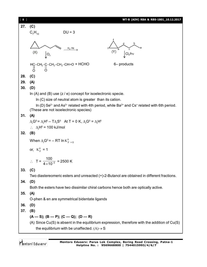| $\begin{bmatrix} 8 \end{bmatrix}$ | WT-B (ADV) RBA & RBS-1801_10.12.2017                                                                                                                  |  |  |
|-----------------------------------|-------------------------------------------------------------------------------------------------------------------------------------------------------|--|--|
| 27.                               | (C)                                                                                                                                                   |  |  |
|                                   | $C_7H_{10}$<br>$DU = 3$                                                                                                                               |  |  |
|                                   |                                                                                                                                                       |  |  |
|                                   | b                                                                                                                                                     |  |  |
|                                   | $H_2/Ni$<br>(Y)<br>(X)                                                                                                                                |  |  |
|                                   | O <sub>3</sub>                                                                                                                                        |  |  |
|                                   | 6- products                                                                                                                                           |  |  |
|                                   | $H$ C-CH <sub>2</sub> -C-CH <sub>2</sub> -CH <sub>2</sub> -CH=O + HCHO<br>O O<br>$\frac{11}{2}$                                                       |  |  |
| 28.                               | (C)                                                                                                                                                   |  |  |
| 29.                               | (A)                                                                                                                                                   |  |  |
| 30.                               | (D)                                                                                                                                                   |  |  |
|                                   | In (A) and (B) use $(z / e)$ concept for isoelectronic specie.                                                                                        |  |  |
|                                   | In (C) size of neutral atom is greater than its cation.                                                                                               |  |  |
|                                   | In (D) Se <sup>2-</sup> and As <sup>3-</sup> related with 4th period, while Ba <sup>2+</sup> and Cs <sup>+</sup> related with 6th period.             |  |  |
|                                   | (These are not isoelectronic species)                                                                                                                 |  |  |
| 31.                               | (A)                                                                                                                                                   |  |  |
|                                   | $\Delta_r$ G <sup>o</sup> = $\Delta_r$ H <sup>o</sup> – T $\Delta_r$ S <sup>o</sup> At T = 0 K, $\Delta_r$ G <sup>o</sup> = $\Delta_r$ H <sup>o</sup> |  |  |
|                                   | $\therefore \Delta_r H^0 = 100$ kJ/mol                                                                                                                |  |  |
| 32.                               | (B)                                                                                                                                                   |  |  |
|                                   | When $\Delta_r G^0 = - RT \ln K_{p=0}^0$                                                                                                              |  |  |
|                                   | or, $K_p^0 = 1$                                                                                                                                       |  |  |
|                                   |                                                                                                                                                       |  |  |
|                                   | ∴ T = $\frac{100}{4 \times 10^{-2}}$ = 2500 K                                                                                                         |  |  |
|                                   |                                                                                                                                                       |  |  |
| 33.                               | (C)                                                                                                                                                   |  |  |
| 34.                               | Two diastereomeric esters and unreacted (+)-2-Butanol are obtained in different fractions.<br>(D)                                                     |  |  |
|                                   | Both the esters have two dissimilar chiral carbons hence both are optically active.                                                                   |  |  |
| 35.                               | (A)                                                                                                                                                   |  |  |
|                                   | O-phen & en are symmetrical bidentate ligands                                                                                                         |  |  |
| 36.                               | (D)                                                                                                                                                   |  |  |
| 37.                               | (B)                                                                                                                                                   |  |  |
|                                   | $(A - S)$ ; $(B - P)$ ; $(C - Q)$ ; $(D - R)$                                                                                                         |  |  |
|                                   | (A) Since Cu(S) is absent in the equilibrium expression, therefore with the addition of Cu(S)                                                         |  |  |
|                                   | the equilibrium with be unaffected. $(A) \rightarrow S$                                                                                               |  |  |
|                                   |                                                                                                                                                       |  |  |

Mentors<sup>®</sup> Eduserv<sup>®</sup>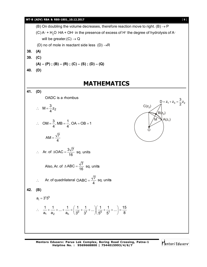## **WT-B (ADV) RBA & RBS-1801\_10.12.2017** [ **9** ] (B) On doubling the volume decreases, therefore reaction move to right.  $(B) \rightarrow P$ (C) A $^{\circ}$  + H<sub>2</sub>O  $\,$  HA + OH $^{\circ}$  in the presence of excess of H $^{\circ}$  the degree of hydrolysis of A $^{\circ}$ will be greater.  $(C) \rightarrow Q$ (D) no of mole in reactant side less (D)  $\rightarrow$ R **38. (A) 39. (C)**  $(A) - (P)$ ;  $(B) - (R)$ ;  $(C) - (S)$ ;  $(D) - (Q)$ **40. (D) MATHEMATICS 41. (D)** OADC is a rhombus 2  $M = \frac{3}{4}z_2$ 4  $\therefore$  M = - $A(z_1)$  $C(z_3)$  $\sqrt{\mathsf{B}(\mathsf{z}_2)}$  $\Omega$ M  $1 + 23 = 72$ D =  $z_1 + z_3 = \frac{3}{2}z$  $OM = \frac{3}{4}$ , MB =  $\frac{1}{4}$ , OA = OB = 1  $4^{7}$  4  $\therefore$  OM =  $\frac{3}{2}$ , MB =  $\frac{1}{2}$ , OA = OB = 2  $AM = \frac{\sqrt{7}}{4}$ 4  $=$ Ar. of  $\triangle OAC = \frac{3\sqrt{7}}{12}$ ∴ Ar. of  $\triangle OAC = \frac{60 \text{ N}}{16}$  sq. units Also, Ar. of  $\triangle ABC = \frac{\sqrt{7}}{40}$  $\triangle ABC = \frac{V}{16}$  sq. units  $\therefore$  Ar. of quadrilateral OABC =  $\frac{\sqrt{7}}{4}$ 4  $=\frac{\sqrt{7}}{4}$  sq. units **42. (B)**  $a_i = 3^r 5^k$  $a_1$  a<sub>2</sub>  $a_n$  (3<sup>0</sup> 3<sup>1</sup>  $|$  5<sup>0</sup> 5<sup>1</sup>  $\left[1 + \frac{1}{2} + \ldots + \frac{1}{2} \right] \left[ \frac{1}{2} + \frac{1}{2} + \ldots \right] \left[ \frac{1}{2} + \frac{1}{2} + \ldots \right] = \frac{15}{2}$  $\therefore \quad \frac{1}{a_1} + \frac{1}{a_2} + \dots + \frac{1}{a_n} < \left(\frac{1}{3^0} + \frac{1}{3^1} + \dots\right) \left(\frac{1}{5^0} + \frac{1}{5^1} + \dots\right) = \frac{15}{8}$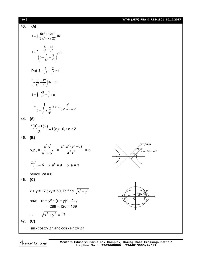| $[ 10 ]$ |                                                                                                       | WT-B (ADV) RBA & RBS-1801_10.12.2017                 |
|----------|-------------------------------------------------------------------------------------------------------|------------------------------------------------------|
| 43.      | (A)                                                                                                   |                                                      |
|          | $I = \int \frac{5x^6 + 12x^5}{(3x^6 + x + 2)^2} dx$                                                   |                                                      |
|          | I = $\int \frac{\frac{5}{x^6} + \frac{12}{x^7}}{\left(3 + \frac{1}{x^5} + \frac{2}{x^6}\right)^2} dx$ |                                                      |
|          | Put $3 + \frac{1}{\sqrt{5}} + \frac{2}{\sqrt{6}} = t$                                                 |                                                      |
|          | $\left(-\frac{5}{x^6}-\frac{12}{x^7}\right)dx = dt$                                                   |                                                      |
|          | $I = \int -\frac{dt}{t^2} = \frac{1}{t} + c$                                                          |                                                      |
|          | $=\frac{1}{3+\frac{1}{\sqrt{5}}+\frac{2}{\sqrt{6}}}+C=\frac{x^6}{3x^6+x+2}$                           |                                                      |
| 44.      | (A)                                                                                                   |                                                      |
|          | $\frac{f(0)+f(2)}{2}=f(c); 0, < c < 2$                                                                |                                                      |
| 45.      | (B)                                                                                                   |                                                      |
|          | $p_1p_2 = \frac{a^2b^2}{a^2 + b^2} = \frac{a^2 \cdot a^2 (e^2 - 1)}{a^2 e^2} = 6$                     | y=(b/a)x<br>$a \sec\theta$ , b tan $\theta$<br>$p_2$ |
|          | $\frac{2a^2}{3} = 6 \implies a^2 = 9 \implies a = 3$                                                  |                                                      |
|          | hence $2a = 6$                                                                                        |                                                      |
| 46.      | (C)                                                                                                   |                                                      |
|          | x + y = 17 ; xy = 60, To find $\sqrt{x^2 + y^2}$                                                      | $\widehat{90}$ °                                     |
|          | now, $x^2 + y^2 = (x + y)^2 - 2xy$<br>$= 289 - 120 = 169$                                             | $\Omega$                                             |
|          | $\sqrt{x^2 + y^2} = 13$                                                                               |                                                      |
| 47.      | (C)                                                                                                   |                                                      |
|          | $sin x cos 2y \le 1$ and $cos x sin 2y \le 1$                                                         |                                                      |

Mentors<sup>®</sup> Eduserv<sup>®</sup>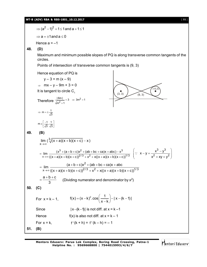## **WT-B (ADV) RBA & RBS-1801\_10.12.2017** [ **11** ]

$$
\Rightarrow (a^2 - 1)^2 + 1 \leq 1 \text{ and } a + 1 \leq 1
$$

 $\Rightarrow$  a =  $\pm$ 1 and a  $\leq$  0

Hence  $a = -1$ 

**48. (D)**

Maximum and minimum possible slopes of PQ is along transverse common tangents of the circles.

 $(3, 3)$  (9, 3)

 $(3)$ 

3 3  $2 \times 2^2$ 

 $x^2 + xy + y^2$ 

 $x - y = \frac{x^3 - y^3}{2}$ 

 $\ddot{\cdot}$ 

 $\therefore x-y = \frac{x^3 - y^3}{2}$  $x^2 + xy + y^2$ 

Points of intersection of transverse common tangents is (9, 3)

Hence equation of PQ is

$$
y - 3 = m (x - 9)
$$

 $\Rightarrow$  mx – y – 9m + 3 = 0

It is tangent to circle  $C_1$ 

Therefore 
$$
\frac{|\text{6m}|}{\sqrt{m^2 + 1}} = 3 \Rightarrow 3m^2 = 1
$$

$$
\Rightarrow m = \pm \frac{1}{\sqrt{3}}
$$
  

$$
m = \begin{bmatrix} -1 & 1 \end{bmatrix}
$$

$$
m \in \left[\frac{-1}{\sqrt{3}}, \frac{1}{\sqrt{3}}\right]
$$

**49. (B)**

$$
\lim_{x \to \infty} \left( \frac{3}{\sqrt{(x+a)(x+b)(x+c)}} - x \right)
$$
\n
$$
= \lim_{x \to \infty} \frac{\left(x^3 + (a+b+c)x^2 + (ab+bc+ca)x + abc\right) - x^3}{\left((x+a)(x+b)(x+c)\right)^{2/3} + x^2 + x\left((x+a)(x+b)(x+c)\right)^{1/3}}
$$

$$
= \lim_{x \to \infty} \frac{(a+b+c)x^2 + (ab+bc+ca)x + abc}{((x+a)(x+b)(x+c))^{2/3} + x^2 + x((x+a)(x+b)(x+c))^{1/3}}
$$

$$
= \frac{a+b+c}{2}
$$
 (Dividing numerator and denominator by x<sup>2</sup>)

$$
=\frac{a+b+c}{3}
$$
 (Dividing numerator and denominator by x<sup>2</sup>)

 $\rightarrow \infty ((x + a)(x + b)(x + c))^{2/3} + x^2 + x((x + a)(x + b)(x + c))$ 

 $(x + a)(x + b)(x + c))^{27.5} + x^2 + x((x + a)(x + b)(x + c))$ 

**50. (C)**

For x = k – 1, 
$$
f(x) = (x - k)^2 \cdot \cos\left(\frac{1}{x - k}\right) - |x - (k - 1)|
$$
  
Since  $|x - (k-1)|$  is not diff. at x = k – 1

- Hence  $f(x)$  is also not diff. at  $x = k 1$
- For  $x = k$ ,  $f'(k + h) = f'(k h) = -1$

**51. (B)**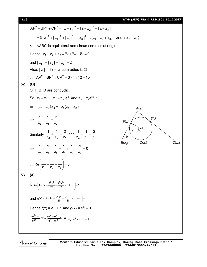[ **12** ] **WT-B (ADV) RBA & RBS-1801\_10.12.2017**

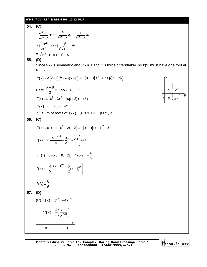#### **WT-B (ADV) RBA & RBS-1801\_10.12.2017** [ **13** ]

**54. (C)**  $2x_{+1}$   $2x_{-2}$  $\int \frac{e^{2x}+1}{\sqrt{e^{2x}-1}} dx = \int \frac{e^{2x}}{\sqrt{e^{2x}-1}} dx + \int \frac{1}{\sqrt{e^{2x}-1}} dx$  $e^{2x}-1$   $\sqrt{e^{2x}-1}$   $\sqrt{e^{2x}-1}$  $\frac{+1}{2}$  dx =  $\int \frac{e^{2x}}{\sqrt{2}} dx +$  $\int \frac{e^{-x}}{\sqrt{e^{2x}-1}} dx = \int \frac{e^{-x}}{\sqrt{e^{2x}-1}} dx + \int \frac{1}{\sqrt{e^{2x}-1}} dx$ 2x  $e^X$  $\int \frac{e^{2x}}{e^{2x}} dx + \int \frac{e^{x}}{e^{x} \sqrt{e^{2x} - 1}} dx$  $e^{2x}-1$  e<sup>x</sup> $\sqrt{e^{2x}-1}$  $= | \frac{c}{\sqrt{2}} dx + |$  $\int \frac{e^{2x}-1}{\sqrt{e^{2x}-1}} dx + \int \frac{e^{2x}-1}{e^{x}\sqrt{e^{2x}-1}}$  $= \sqrt{e^{2x} - 1 + \sec^{-1}(e^{x}) + C}$ **55. (D)** Since  $f(x)$  is symmetric about  $x = 1$  and it is twice differntiable. so  $f'(x)$  must have one root at  $x = 1$ .  $f'(x) = a(x-1)(x-\alpha)(x-\beta) = a(x-1)(x^2 - (\alpha + \beta)x + \alpha\beta)$  $x = \alpha$ x = β x = 1 y O Here  $\frac{x+p}{2} = 1$  $\frac{\alpha+\beta}{2}$  = 1 so  $\alpha+\beta$  = 2  $f'(x) = a(x^3 - 3x^2 + (\alpha \beta + 2)x - \alpha \beta)$  $f''(2) = 0 \Rightarrow \alpha \beta = -2$  $\therefore$  Sum of roots of  $f'(x) = 0$  is  $1 + \alpha + \beta$  i.e., 3. **56. (C)**  $f'(x) = a(x-1)(x^2-2x-2) = a(x-1)((x-1)^2-3)$  $(x) = a \frac{(x-1)^{4}}{4} - \frac{3}{8}(x-1)^{2}$  $f(x) = a \left[ \frac{(x-1)^4}{4} - \frac{3}{2}(x-1)^2 \right] + C$  $= a \left[ \frac{(x-1)^4}{(x-1)^2} - \frac{3}{2}(x-1)^2 \right] + 0$  $($   $($   $)$ : f(1) = 0 so c = 0; f(2) = 1 so a =  $-\frac{4}{5}$  $(x) = -\frac{4}{5} \left[ \frac{(x-1)^{4}}{4} - \frac{3}{2}(x-1)^{2} \right]$  $f(x) = -\frac{4}{5} \left| \frac{(x-1)^4}{4} - \frac{3}{2}(x-1)^2 \right|$  $=-\frac{4}{5}\left[\frac{(x-1)^4}{(x-1)^2}-\frac{3}{2}(x-1)^2\right]$   $f(3) = \frac{8}{5}$ 5  $=$ **57. (D)** (P)  $f(x) = x^{4/3} - 4x^{1/3}$  $f'(x) = \frac{4}{3} \left( \frac{x-1}{x^{2/3}} \right)$  $3(x$  $=\frac{4}{3}\left(\frac{x-1}{x^{2/3}}\right)$ 0 1 – – +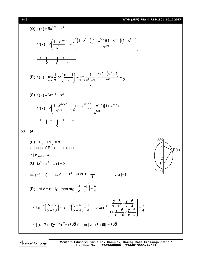[ **14** ] **WT-B (ADV) RBA & RBS-1801\_10.12.2017**

(a) f(x)=5x<sup>2/5</sup>-x<sup>2</sup>  
\nf'(x)=2
$$
\left(\frac{1-x^{8/5}}{x^{3/5}}\right)
$$
 =2 $\left(\frac{(1-x^{1/5})(1+x^{1/5})(1+x^{2/5})(1+x^{4/5})}{x^{3/5}}\right)$   
\n $\frac{1}{-1} = \frac{1}{-1} = \frac{1}{-1} = \frac{1}{-1} = \frac{1}{-1} = \frac{1}{-1} = \frac{1}{-1} = \frac{1}{-1} = \frac{1}{-1} = \frac{1}{-1} = \frac{1}{-1} = \frac{1}{-1} = \frac{1}{-1} = \frac{1}{-1} = \frac{1}{-1} = \frac{1}{-1} = \frac{1}{-1} = \frac{1}{-1} = \frac{1}{-1} = \frac{1}{-1} = \frac{1}{-1} = \frac{1}{-1} = \frac{1}{-1} = \frac{1}{-1} = \frac{1}{-1} = \frac{1}{-1} = \frac{1}{-1} = \frac{1}{-1} = \frac{1}{-1} = \frac{1}{-1} = \frac{1}{-1} = \frac{1}{-1} = \frac{1}{-1} = \frac{1}{-1} = \frac{1}{-1} = \frac{1}{-1} = \frac{1}{-1} = \frac{1}{-1} = \frac{1}{-1} = \frac{1}{-1} = \frac{1}{-1} = \frac{1}{-1} = \frac{1}{-1} = \frac{1}{-1} = \frac{1}{-1} = \frac{1}{-1} = \frac{1}{-1} = \frac{1}{-1} = \frac{1}{-1} = \frac{1}{-1} = \frac{1}{-1} = \frac{1}{-1} = \frac{1}{-1} = \frac{1}{-1} = \frac{1}{-1} = \frac{1}{-1} = \frac{1}{-1} = \frac{1}{-1} = \frac{1}{-1} = \frac{1}{-1} = \frac{1}{-1} = \frac{1}{-1} = \frac{1}{-1} = \frac{1}{-1} = \frac{1}{-1} = \frac{1}{-1} = \frac{1}{-1} = \frac{1}{-1} = \frac{1}{-1} = \frac{1}{-1} = \frac{1}{-1} = \frac{1}{-1} = \frac{1}{$ 

Mentors<sup>e</sup> Eduserv<sup>-</sup>

**Mentors Eduserv: Parus Lok Complex, Boring Road Crossing, Patna-1 Helpline No. : 9569668800 | 7544015993/4/6/7**

$$
[11]
$$